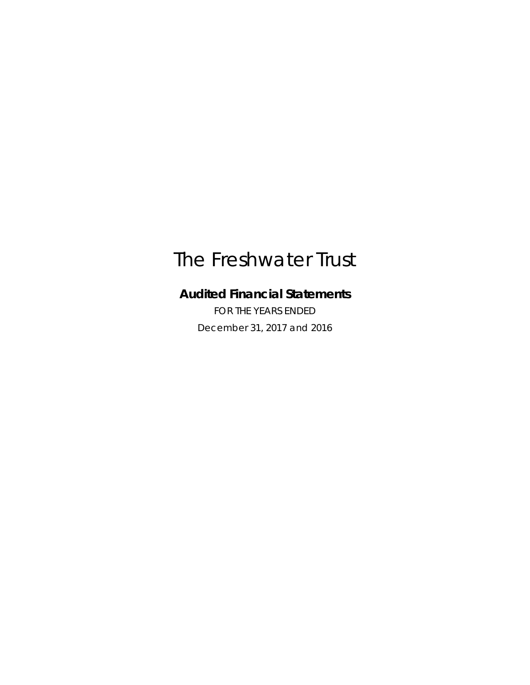# The Freshwater Trust

## **Audited Financial Statements**

FOR THE YEARS ENDED December 31, 2017 and 2016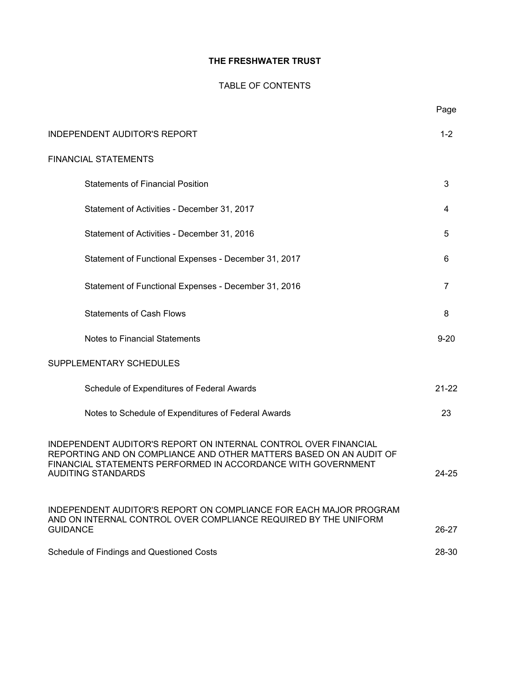## **THE FRESHWATER TRUST**

## TABLE OF CONTENTS

|                                                                                                                                                                                                       | Page      |
|-------------------------------------------------------------------------------------------------------------------------------------------------------------------------------------------------------|-----------|
| <b>INDEPENDENT AUDITOR'S REPORT</b>                                                                                                                                                                   | $1 - 2$   |
| <b>FINANCIAL STATEMENTS</b>                                                                                                                                                                           |           |
| <b>Statements of Financial Position</b>                                                                                                                                                               | 3         |
| Statement of Activities - December 31, 2017                                                                                                                                                           | 4         |
| Statement of Activities - December 31, 2016                                                                                                                                                           | 5         |
| Statement of Functional Expenses - December 31, 2017                                                                                                                                                  | 6         |
| Statement of Functional Expenses - December 31, 2016                                                                                                                                                  | 7         |
| <b>Statements of Cash Flows</b>                                                                                                                                                                       | 8         |
| Notes to Financial Statements                                                                                                                                                                         | $9 - 20$  |
| SUPPLEMENTARY SCHEDULES                                                                                                                                                                               |           |
| Schedule of Expenditures of Federal Awards                                                                                                                                                            | $21 - 22$ |
| Notes to Schedule of Expenditures of Federal Awards                                                                                                                                                   | 23        |
| INDEPENDENT AUDITOR'S REPORT ON INTERNAL CONTROL OVER FINANCIAL<br>REPORTING AND ON COMPLIANCE AND OTHER MATTERS BASED ON AN AUDIT OF<br>FINANCIAL STATEMENTS PERFORMED IN ACCORDANCE WITH GOVERNMENT |           |
| <b>AUDITING STANDARDS</b>                                                                                                                                                                             | 24-25     |
| INDEPENDENT AUDITOR'S REPORT ON COMPLIANCE FOR EACH MAJOR PROGRAM<br>AND ON INTERNAL CONTROL OVER COMPLIANCE REQUIRED BY THE UNIFORM<br><b>GUIDANCE</b>                                               | 26-27     |
| Schedule of Findings and Questioned Costs                                                                                                                                                             | 28-30     |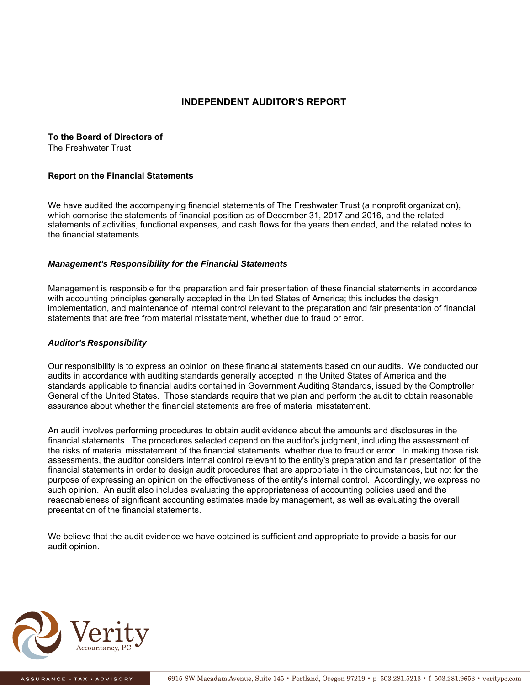## **INDEPENDENT AUDITOR'S REPORT**

#### **To the Board of Directors of**

The Freshwater Trust

#### **Report on the Financial Statements**

We have audited the accompanying financial statements of The Freshwater Trust (a nonprofit organization), which comprise the statements of financial position as of December 31, 2017 and 2016, and the related statements of activities, functional expenses, and cash flows for the years then ended, and the related notes to the financial statements.

#### *Management's Responsibility for the Financial Statements*

Management is responsible for the preparation and fair presentation of these financial statements in accordance with accounting principles generally accepted in the United States of America; this includes the design, implementation, and maintenance of internal control relevant to the preparation and fair presentation of financial statements that are free from material misstatement, whether due to fraud or error.

#### *Auditor's Responsibility*

Our responsibility is to express an opinion on these financial statements based on our audits. We conducted our audits in accordance with auditing standards generally accepted in the United States of America and the standards applicable to financial audits contained in Government Auditing Standards, issued by the Comptroller General of the United States. Those standards require that we plan and perform the audit to obtain reasonable assurance about whether the financial statements are free of material misstatement.

An audit involves performing procedures to obtain audit evidence about the amounts and disclosures in the financial statements. The procedures selected depend on the auditor's judgment, including the assessment of the risks of material misstatement of the financial statements, whether due to fraud or error. In making those risk assessments, the auditor considers internal control relevant to the entity's preparation and fair presentation of the financial statements in order to design audit procedures that are appropriate in the circumstances, but not for the purpose of expressing an opinion on the effectiveness of the entity's internal control. Accordingly, we express no such opinion. An audit also includes evaluating the appropriateness of accounting policies used and the reasonableness of significant accounting estimates made by management, as well as evaluating the overall presentation of the financial statements.

We believe that the audit evidence we have obtained is sufficient and appropriate to provide a basis for our audit opinion.

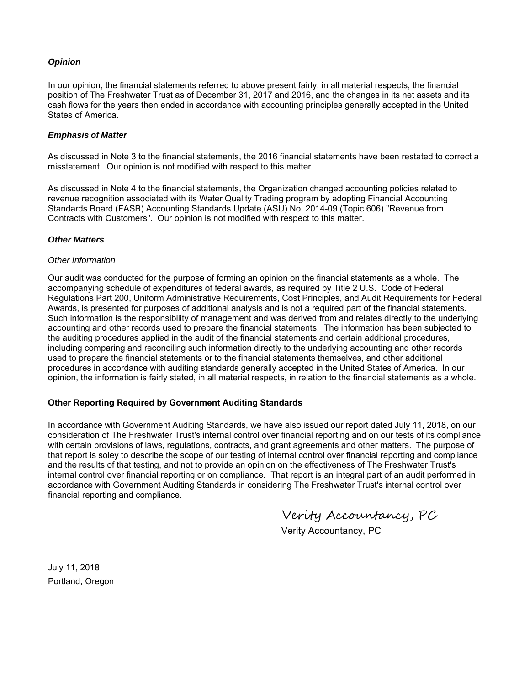## *Opinion*

In our opinion, the financial statements referred to above present fairly, in all material respects, the financial position of The Freshwater Trust as of December 31, 2017 and 2016, and the changes in its net assets and its cash flows for the years then ended in accordance with accounting principles generally accepted in the United States of America.

### *Emphasis of Matter*

As discussed in Note 3 to the financial statements, the 2016 financial statements have been restated to correct a misstatement. Our opinion is not modified with respect to this matter.

As discussed in Note 4 to the financial statements, the Organization changed accounting policies related to revenue recognition associated with its Water Quality Trading program by adopting Financial Accounting Standards Board (FASB) Accounting Standards Update (ASU) No. 2014-09 (Topic 606) "Revenue from Contracts with Customers". Our opinion is not modified with respect to this matter.

### *Other Matters*

#### *Other Information*

Our audit was conducted for the purpose of forming an opinion on the financial statements as a whole. The accompanying schedule of expenditures of federal awards, as required by Title 2 U.S. Code of Federal Regulations Part 200, Uniform Administrative Requirements, Cost Principles, and Audit Requirements for Federal Awards, is presented for purposes of additional analysis and is not a required part of the financial statements. Such information is the responsibility of management and was derived from and relates directly to the underlying accounting and other records used to prepare the financial statements. The information has been subjected to the auditing procedures applied in the audit of the financial statements and certain additional procedures, including comparing and reconciling such information directly to the underlying accounting and other records used to prepare the financial statements or to the financial statements themselves, and other additional procedures in accordance with auditing standards generally accepted in the United States of America. In our opinion, the information is fairly stated, in all material respects, in relation to the financial statements as a whole.

#### **Other Reporting Required by Government Auditing Standards**

In accordance with Government Auditing Standards, we have also issued our report dated July 11, 2018, on our consideration of The Freshwater Trust's internal control over financial reporting and on our tests of its compliance with certain provisions of laws, regulations, contracts, and grant agreements and other matters. The purpose of that report is soley to describe the scope of our testing of internal control over financial reporting and compliance and the results of that testing, and not to provide an opinion on the effectiveness of The Freshwater Trust's internal control over financial reporting or on compliance. That report is an integral part of an audit performed in accordance with Government Auditing Standards in considering The Freshwater Trust's internal control over financial reporting and compliance.

Verity Accountancy, PC

Verity Accountancy, PC

July 11, 2018 Portland, Oregon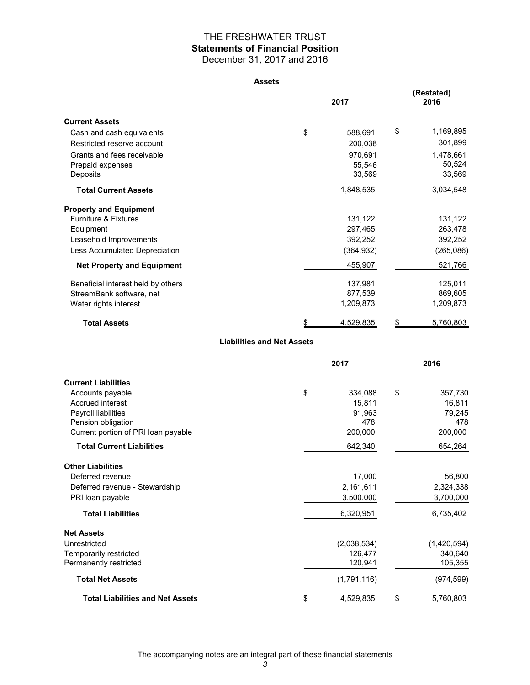## THE FRESHWATER TRUST **Statements of Financial Position** December 31, 2017 and 2016

#### **Assets**

|                                    |      |           | (Restated)      |
|------------------------------------|------|-----------|-----------------|
|                                    | 2017 |           | 2016            |
| <b>Current Assets</b>              |      |           |                 |
| Cash and cash equivalents          | \$   | 588,691   | \$<br>1,169,895 |
| Restricted reserve account         |      | 200,038   | 301,899         |
| Grants and fees receivable         |      | 970,691   | 1,478,661       |
| Prepaid expenses                   |      | 55,546    | 50,524          |
| Deposits                           |      | 33,569    | 33,569          |
| <b>Total Current Assets</b>        |      | 1,848,535 | 3,034,548       |
| <b>Property and Equipment</b>      |      |           |                 |
| <b>Furniture &amp; Fixtures</b>    |      | 131,122   | 131,122         |
| Equipment                          |      | 297,465   | 263,478         |
| Leasehold Improvements             |      | 392,252   | 392,252         |
| Less Accumulated Depreciation      |      | (364,932) | (265,086)       |
| <b>Net Property and Equipment</b>  |      | 455,907   | 521,766         |
| Beneficial interest held by others |      | 137,981   | 125,011         |
| StreamBank software, net           |      | 877,539   | 869,605         |
| Water rights interest              |      | 1,209,873 | 1,209,873       |
| <b>Total Assets</b>                | \$   | 4,529,835 | \$<br>5,760,803 |

## **Liabilities and Net Assets**

|                                         | 2017            |    | 2016        |
|-----------------------------------------|-----------------|----|-------------|
| <b>Current Liabilities</b>              |                 |    |             |
| Accounts payable                        | \$<br>334,088   | \$ | 357,730     |
| Accrued interest                        | 15,811          |    | 16,811      |
| Payroll liabilities                     | 91,963          |    | 79,245      |
| Pension obligation                      | 478             |    | 478         |
| Current portion of PRI loan payable     | 200,000         |    | 200,000     |
| <b>Total Current Liabilities</b>        | 642,340         |    | 654,264     |
| <b>Other Liabilities</b>                |                 |    |             |
| Deferred revenue                        | 17,000          |    | 56,800      |
| Deferred revenue - Stewardship          | 2,161,611       |    | 2,324,338   |
| PRI loan payable                        | 3,500,000       |    | 3,700,000   |
| <b>Total Liabilities</b>                | 6,320,951       |    | 6,735,402   |
| <b>Net Assets</b>                       |                 |    |             |
| Unrestricted                            | (2,038,534)     |    | (1,420,594) |
| Temporarily restricted                  | 126,477         |    | 340,640     |
| Permanently restricted                  | 120,941         |    | 105,355     |
| <b>Total Net Assets</b>                 | (1,791,116)     |    | (974,599)   |
| <b>Total Liabilities and Net Assets</b> | \$<br>4,529,835 | \$ | 5,760,803   |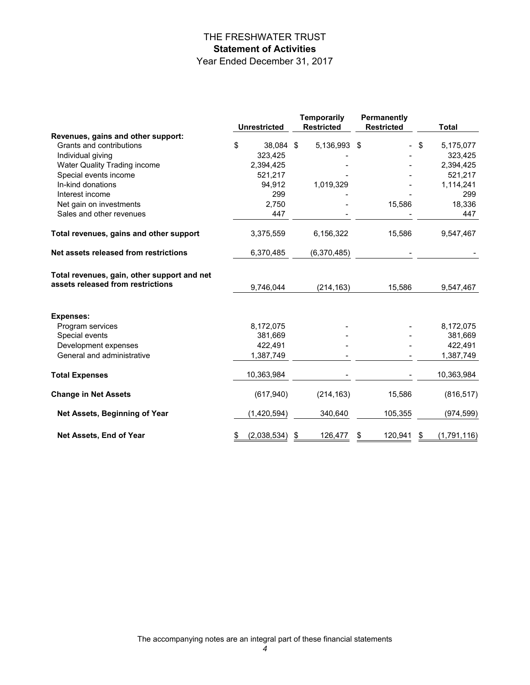## THE FRESHWATER TRUST **Statement of Activities** Year Ended December 31, 2017

|                                             | <b>Unrestricted</b> | <b>Temporarily</b><br><b>Restricted</b> | <b>Permanently</b><br><b>Restricted</b> | Total             |
|---------------------------------------------|---------------------|-----------------------------------------|-----------------------------------------|-------------------|
| Revenues, gains and other support:          |                     |                                         |                                         |                   |
| Grants and contributions                    | \$<br>38,084 \$     | 5,136,993 \$                            |                                         | 5,175,077<br>\$   |
| Individual giving                           | 323,425             |                                         |                                         | 323,425           |
| Water Quality Trading income                | 2,394,425           |                                         |                                         | 2,394,425         |
| Special events income                       | 521,217             |                                         |                                         | 521,217           |
| In-kind donations                           | 94,912              | 1,019,329                               |                                         | 1,114,241         |
| Interest income                             | 299                 |                                         |                                         | 299               |
| Net gain on investments                     | 2,750               |                                         | 15,586                                  | 18,336            |
| Sales and other revenues                    | 447                 |                                         |                                         | 447               |
| Total revenues, gains and other support     | 3,375,559           | 6,156,322                               | 15,586                                  | 9,547,467         |
| Net assets released from restrictions       | 6,370,485           | (6,370,485)                             |                                         |                   |
| Total revenues, gain, other support and net |                     |                                         |                                         |                   |
| assets released from restrictions           | 9,746,044           | (214, 163)                              | 15,586                                  | 9,547,467         |
| <b>Expenses:</b>                            |                     |                                         |                                         |                   |
| Program services                            | 8,172,075           |                                         |                                         | 8,172,075         |
| Special events                              | 381,669             |                                         |                                         | 381,669           |
| Development expenses                        | 422,491             |                                         |                                         | 422,491           |
| General and administrative                  | 1,387,749           |                                         |                                         | 1,387,749         |
| <b>Total Expenses</b>                       | 10,363,984          |                                         |                                         | 10,363,984        |
| <b>Change in Net Assets</b>                 | (617, 940)          | (214, 163)                              | 15,586                                  | (816, 517)        |
| Net Assets, Beginning of Year               | (1,420,594)         | 340,640                                 | 105,355                                 | (974, 599)        |
| Net Assets, End of Year                     | (2,038,534)<br>\$   | 126,477<br>\$                           | \$<br>120,941                           | (1,791,116)<br>\$ |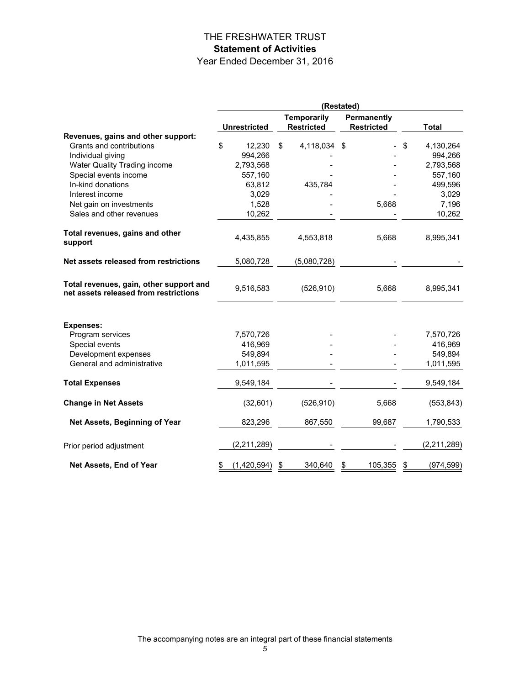## THE FRESHWATER TRUST **Statement of Activities**

| Year Ended December 31, 2016 |  |
|------------------------------|--|
|------------------------------|--|

|                                                                                  | (Restated)          |                                         |                                  |                  |  |  |
|----------------------------------------------------------------------------------|---------------------|-----------------------------------------|----------------------------------|------------------|--|--|
|                                                                                  | <b>Unrestricted</b> | <b>Temporarily</b><br><b>Restricted</b> | Permanently<br><b>Restricted</b> | <b>Total</b>     |  |  |
| Revenues, gains and other support:                                               |                     |                                         |                                  |                  |  |  |
| Grants and contributions                                                         | \$<br>12,230        | 4,118,034 \$<br>\$                      |                                  | \$<br>4,130,264  |  |  |
| Individual giving                                                                | 994,266             |                                         |                                  | 994,266          |  |  |
| Water Quality Trading income                                                     | 2,793,568           |                                         |                                  | 2,793,568        |  |  |
| Special events income                                                            | 557,160             |                                         |                                  | 557,160          |  |  |
| In-kind donations                                                                | 63,812              | 435,784                                 |                                  | 499,596          |  |  |
| Interest income                                                                  | 3,029               |                                         |                                  | 3,029            |  |  |
| Net gain on investments                                                          | 1,528               |                                         | 5,668                            | 7,196            |  |  |
| Sales and other revenues                                                         | 10,262              |                                         |                                  | 10,262           |  |  |
| Total revenues, gains and other<br>support                                       | 4,435,855           | 4,553,818                               | 5,668                            | 8,995,341        |  |  |
| Net assets released from restrictions                                            | 5,080,728           | (5,080,728)                             |                                  |                  |  |  |
| Total revenues, gain, other support and<br>net assets released from restrictions | 9,516,583           | (526, 910)                              | 5,668                            | 8,995,341        |  |  |
| <b>Expenses:</b>                                                                 |                     |                                         |                                  |                  |  |  |
| Program services                                                                 | 7,570,726           |                                         |                                  | 7,570,726        |  |  |
| Special events                                                                   | 416,969             |                                         |                                  | 416,969          |  |  |
| Development expenses                                                             | 549,894             |                                         |                                  | 549,894          |  |  |
| General and administrative                                                       | 1,011,595           |                                         |                                  | 1,011,595        |  |  |
| <b>Total Expenses</b>                                                            | 9,549,184           |                                         |                                  | 9,549,184        |  |  |
| <b>Change in Net Assets</b>                                                      | (32,601)            | (526, 910)                              | 5,668                            | (553, 843)       |  |  |
| Net Assets, Beginning of Year                                                    | 823,296             | 867,550                                 | 99,687                           | 1,790,533        |  |  |
| Prior period adjustment                                                          | (2,211,289)         |                                         |                                  | (2, 211, 289)    |  |  |
| Net Assets, End of Year                                                          | (1,420,594)<br>\$   | 340,640<br>\$                           | 105,355<br>\$                    | (974, 599)<br>\$ |  |  |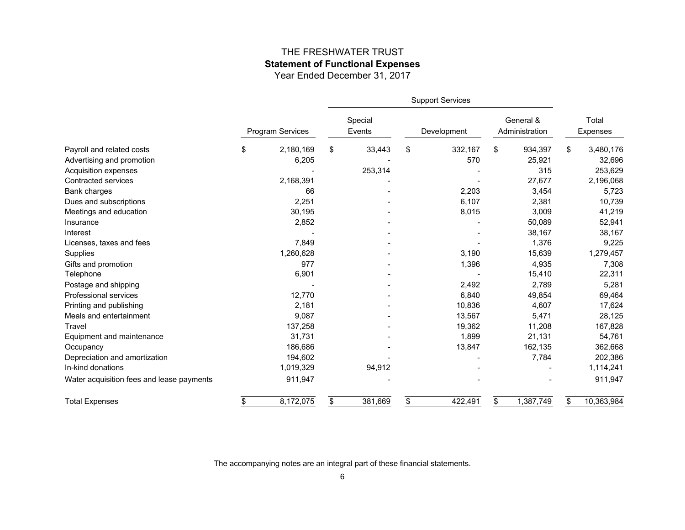## THE FRESHWATER TRUST **Statement of Functional Expenses**

Year Ended December 31, 2017

|                                           |                  |           | <b>Support Services</b> |                                  |    |         |                             |           |                   |            |
|-------------------------------------------|------------------|-----------|-------------------------|----------------------------------|----|---------|-----------------------------|-----------|-------------------|------------|
|                                           | Program Services |           |                         | Special<br>Events<br>Development |    |         | General &<br>Administration |           | Total<br>Expenses |            |
| Payroll and related costs                 | \$               | 2,180,169 | \$                      | 33,443                           | \$ | 332,167 | \$                          | 934,397   | \$                | 3,480,176  |
| Advertising and promotion                 |                  | 6,205     |                         |                                  |    | 570     |                             | 25,921    |                   | 32,696     |
| Acquisition expenses                      |                  |           |                         | 253,314                          |    |         |                             | 315       |                   | 253,629    |
| <b>Contracted services</b>                |                  | 2,168,391 |                         |                                  |    |         |                             | 27,677    |                   | 2,196,068  |
| Bank charges                              |                  | 66        |                         |                                  |    | 2,203   |                             | 3,454     |                   | 5,723      |
| Dues and subscriptions                    |                  | 2,251     |                         |                                  |    | 6,107   |                             | 2,381     |                   | 10,739     |
| Meetings and education                    |                  | 30,195    |                         |                                  |    | 8,015   |                             | 3,009     |                   | 41,219     |
| Insurance                                 |                  | 2,852     |                         |                                  |    |         |                             | 50,089    |                   | 52,941     |
| Interest                                  |                  |           |                         |                                  |    |         |                             | 38,167    |                   | 38,167     |
| Licenses, taxes and fees                  |                  | 7,849     |                         |                                  |    |         |                             | 1,376     |                   | 9,225      |
| Supplies                                  |                  | 1,260,628 |                         |                                  |    | 3,190   |                             | 15,639    |                   | 1,279,457  |
| Gifts and promotion                       |                  | 977       |                         |                                  |    | 1,396   |                             | 4,935     |                   | 7,308      |
| Telephone                                 |                  | 6,901     |                         |                                  |    |         |                             | 15,410    |                   | 22,311     |
| Postage and shipping                      |                  |           |                         |                                  |    | 2,492   |                             | 2,789     |                   | 5,281      |
| Professional services                     |                  | 12,770    |                         |                                  |    | 6,840   |                             | 49,854    |                   | 69,464     |
| Printing and publishing                   |                  | 2,181     |                         |                                  |    | 10,836  |                             | 4,607     |                   | 17,624     |
| Meals and entertainment                   |                  | 9,087     |                         |                                  |    | 13,567  |                             | 5,471     |                   | 28,125     |
| Travel                                    |                  | 137,258   |                         |                                  |    | 19,362  |                             | 11,208    |                   | 167,828    |
| Equipment and maintenance                 |                  | 31,731    |                         |                                  |    | 1,899   |                             | 21,131    |                   | 54,761     |
| Occupancy                                 |                  | 186,686   |                         |                                  |    | 13,847  |                             | 162,135   |                   | 362,668    |
| Depreciation and amortization             |                  | 194,602   |                         |                                  |    |         |                             | 7,784     |                   | 202,386    |
| In-kind donations                         |                  | 1,019,329 |                         | 94,912                           |    |         |                             |           |                   | 1,114,241  |
| Water acquisition fees and lease payments |                  | 911,947   |                         |                                  |    |         |                             |           |                   | 911,947    |
| <b>Total Expenses</b>                     | \$               | 8,172,075 | \$                      | 381,669                          | \$ | 422,491 | \$                          | 1,387,749 | \$                | 10,363,984 |

The accompanying notes are an integral part of these financial statements.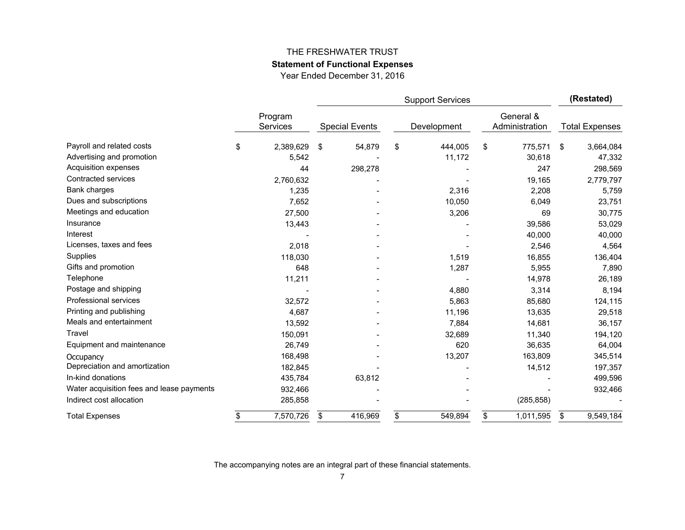#### THE FRESHWATER TRUST

## **Statement of Functional Expenses**

Year Ended December 31, 2016

|                                           |                     | <b>Support Services</b> |                       |    |             |    |                             |    | (Restated)            |  |  |
|-------------------------------------------|---------------------|-------------------------|-----------------------|----|-------------|----|-----------------------------|----|-----------------------|--|--|
|                                           | Program<br>Services |                         | <b>Special Events</b> |    | Development |    | General &<br>Administration |    | <b>Total Expenses</b> |  |  |
| Payroll and related costs                 | \$<br>2,389,629     | \$                      | 54,879                | \$ | 444,005     | \$ | 775,571                     | \$ | 3,664,084             |  |  |
| Advertising and promotion                 | 5,542               |                         |                       |    | 11,172      |    | 30,618                      |    | 47,332                |  |  |
| Acquisition expenses                      | 44                  |                         | 298,278               |    |             |    | 247                         |    | 298,569               |  |  |
| Contracted services                       | 2,760,632           |                         |                       |    |             |    | 19,165                      |    | 2,779,797             |  |  |
| Bank charges                              | 1,235               |                         |                       |    | 2,316       |    | 2,208                       |    | 5,759                 |  |  |
| Dues and subscriptions                    | 7,652               |                         |                       |    | 10,050      |    | 6,049                       |    | 23,751                |  |  |
| Meetings and education                    | 27,500              |                         |                       |    | 3,206       |    | 69                          |    | 30,775                |  |  |
| Insurance                                 | 13,443              |                         |                       |    |             |    | 39,586                      |    | 53,029                |  |  |
| Interest                                  |                     |                         |                       |    |             |    | 40,000                      |    | 40,000                |  |  |
| Licenses, taxes and fees                  | 2,018               |                         |                       |    |             |    | 2,546                       |    | 4,564                 |  |  |
| Supplies                                  | 118,030             |                         |                       |    | 1,519       |    | 16,855                      |    | 136,404               |  |  |
| Gifts and promotion                       | 648                 |                         |                       |    | 1,287       |    | 5,955                       |    | 7,890                 |  |  |
| Telephone                                 | 11,211              |                         |                       |    |             |    | 14,978                      |    | 26,189                |  |  |
| Postage and shipping                      |                     |                         |                       |    | 4,880       |    | 3,314                       |    | 8,194                 |  |  |
| Professional services                     | 32,572              |                         |                       |    | 5,863       |    | 85,680                      |    | 124,115               |  |  |
| Printing and publishing                   | 4,687               |                         |                       |    | 11,196      |    | 13,635                      |    | 29,518                |  |  |
| Meals and entertainment                   | 13,592              |                         |                       |    | 7,884       |    | 14,681                      |    | 36,157                |  |  |
| Travel                                    | 150,091             |                         |                       |    | 32,689      |    | 11,340                      |    | 194,120               |  |  |
| Equipment and maintenance                 | 26,749              |                         |                       |    | 620         |    | 36,635                      |    | 64,004                |  |  |
| Occupancy                                 | 168,498             |                         |                       |    | 13,207      |    | 163,809                     |    | 345,514               |  |  |
| Depreciation and amortization             | 182,845             |                         |                       |    |             |    | 14,512                      |    | 197,357               |  |  |
| In-kind donations                         | 435,784             |                         | 63,812                |    |             |    |                             |    | 499,596               |  |  |
| Water acquisition fees and lease payments | 932,466             |                         |                       |    |             |    |                             |    | 932,466               |  |  |
| Indirect cost allocation                  | 285,858             |                         |                       |    |             |    | (285, 858)                  |    |                       |  |  |
| <b>Total Expenses</b>                     | \$<br>7,570,726     | \$                      | 416,969               | \$ | 549,894     | \$ | 1,011,595                   | \$ | 9,549,184             |  |  |

The accompanying notes are an integral part of these financial statements.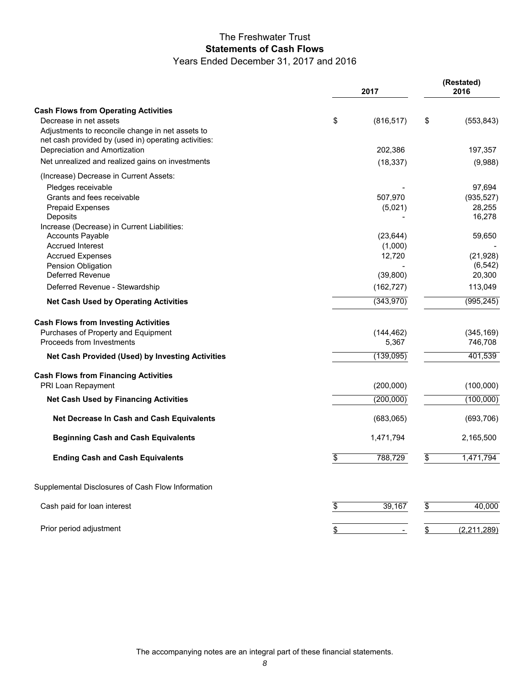## The Freshwater Trust **Statements of Cash Flows** Years Ended December 31, 2017 and 2016

|                                                                            | 2017             |                 |             |
|----------------------------------------------------------------------------|------------------|-----------------|-------------|
| <b>Cash Flows from Operating Activities</b>                                |                  |                 |             |
| Decrease in net assets<br>Adjustments to reconcile change in net assets to | \$<br>(816, 517) | \$              | (553, 843)  |
| net cash provided by (used in) operating activities:                       |                  |                 |             |
| Depreciation and Amortization                                              | 202,386          |                 | 197,357     |
| Net unrealized and realized gains on investments                           | (18, 337)        |                 | (9,988)     |
| (Increase) Decrease in Current Assets:                                     |                  |                 |             |
| Pledges receivable                                                         |                  |                 | 97,694      |
| Grants and fees receivable                                                 | 507,970          |                 | (935, 527)  |
| <b>Prepaid Expenses</b>                                                    | (5,021)          |                 | 28,255      |
| Deposits                                                                   |                  |                 | 16,278      |
| Increase (Decrease) in Current Liabilities:<br><b>Accounts Payable</b>     | (23, 644)        |                 | 59,650      |
| <b>Accrued Interest</b>                                                    | (1,000)          |                 |             |
| <b>Accrued Expenses</b>                                                    | 12,720           |                 | (21, 928)   |
| Pension Obligation                                                         |                  |                 | (6, 542)    |
| <b>Deferred Revenue</b>                                                    | (39, 800)        |                 | 20,300      |
| Deferred Revenue - Stewardship                                             | (162, 727)       |                 | 113,049     |
| <b>Net Cash Used by Operating Activities</b>                               | (343,970)        |                 | (995, 245)  |
| <b>Cash Flows from Investing Activities</b>                                |                  |                 |             |
| Purchases of Property and Equipment                                        | (144, 462)       |                 | (345, 169)  |
| Proceeds from Investments                                                  | 5,367            |                 | 746,708     |
| Net Cash Provided (Used) by Investing Activities                           | (139,095)        |                 | 401,539     |
| <b>Cash Flows from Financing Activities</b>                                |                  |                 |             |
| PRI Loan Repayment                                                         | (200,000)        |                 | (100,000)   |
| <b>Net Cash Used by Financing Activities</b>                               | (200,000)        |                 | (100,000)   |
| Net Decrease In Cash and Cash Equivalents                                  | (683,065)        |                 | (693, 706)  |
| <b>Beginning Cash and Cash Equivalents</b>                                 | 1,471,794        |                 | 2,165,500   |
| <b>Ending Cash and Cash Equivalents</b>                                    | \$<br>788,729    | \$              | 1,471,794   |
| Supplemental Disclosures of Cash Flow Information                          |                  |                 |             |
| Cash paid for loan interest                                                | \$<br>39,167     | $\overline{\$}$ | 40,000      |
|                                                                            |                  |                 |             |
| Prior period adjustment                                                    | \$               | $\overline{P}$  | (2,211,289) |

The accompanying notes are an integral part of these financial statements.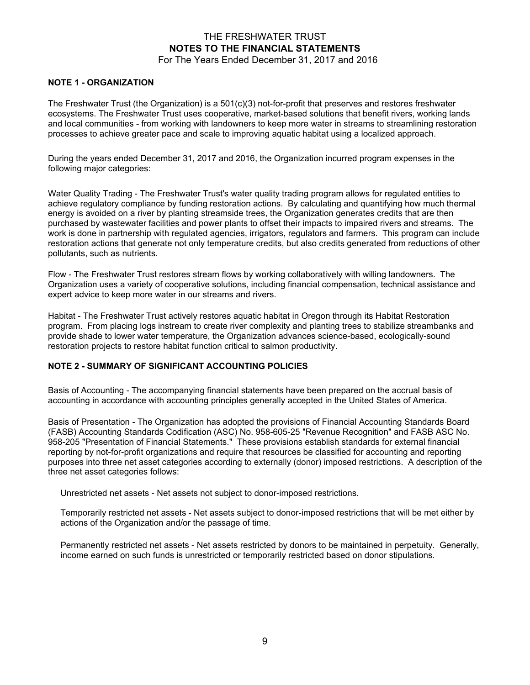For The Years Ended December 31, 2017 and 2016

## **NOTE 1 - ORGANIZATION**

The Freshwater Trust (the Organization) is a 501(c)(3) not-for-profit that preserves and restores freshwater ecosystems. The Freshwater Trust uses cooperative, market-based solutions that benefit rivers, working lands and local communities - from working with landowners to keep more water in streams to streamlining restoration processes to achieve greater pace and scale to improving aquatic habitat using a localized approach.

During the years ended December 31, 2017 and 2016, the Organization incurred program expenses in the following major categories:

Water Quality Trading - The Freshwater Trust's water quality trading program allows for regulated entities to achieve regulatory compliance by funding restoration actions. By calculating and quantifying how much thermal energy is avoided on a river by planting streamside trees, the Organization generates credits that are then purchased by wastewater facilities and power plants to offset their impacts to impaired rivers and streams. The work is done in partnership with regulated agencies, irrigators, regulators and farmers. This program can include restoration actions that generate not only temperature credits, but also credits generated from reductions of other pollutants, such as nutrients.

Flow - The Freshwater Trust restores stream flows by working collaboratively with willing landowners. The Organization uses a variety of cooperative solutions, including financial compensation, technical assistance and expert advice to keep more water in our streams and rivers.

Habitat - The Freshwater Trust actively restores aquatic habitat in Oregon through its Habitat Restoration program. From placing logs instream to create river complexity and planting trees to stabilize streambanks and provide shade to lower water temperature, the Organization advances science-based, ecologically-sound restoration projects to restore habitat function critical to salmon productivity.

## **NOTE 2 - SUMMARY OF SIGNIFICANT ACCOUNTING POLICIES**

Basis of Accounting - The accompanying financial statements have been prepared on the accrual basis of accounting in accordance with accounting principles generally accepted in the United States of America.

Basis of Presentation - The Organization has adopted the provisions of Financial Accounting Standards Board (FASB) Accounting Standards Codification (ASC) No. 958-605-25 "Revenue Recognition" and FASB ASC No. 958-205 "Presentation of Financial Statements." These provisions establish standards for external financial reporting by not-for-profit organizations and require that resources be classified for accounting and reporting purposes into three net asset categories according to externally (donor) imposed restrictions. A description of the three net asset categories follows:

Unrestricted net assets - Net assets not subject to donor-imposed restrictions.

Temporarily restricted net assets - Net assets subject to donor-imposed restrictions that will be met either by actions of the Organization and/or the passage of time.

Permanently restricted net assets - Net assets restricted by donors to be maintained in perpetuity. Generally, income earned on such funds is unrestricted or temporarily restricted based on donor stipulations.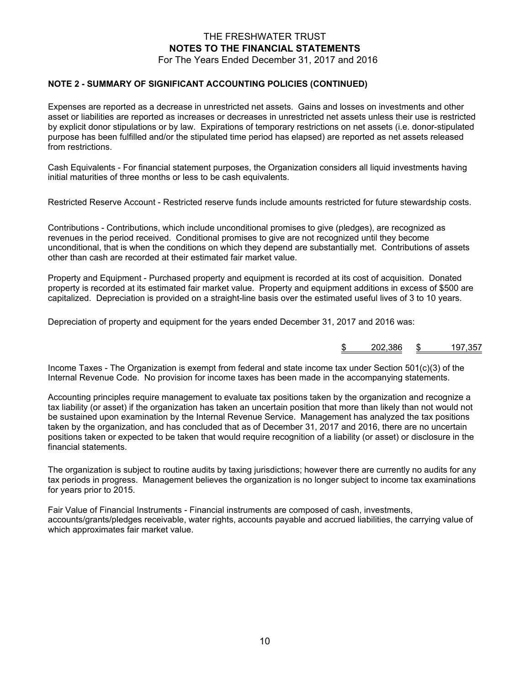For The Years Ended December 31, 2017 and 2016

## **NOTE 2 - SUMMARY OF SIGNIFICANT ACCOUNTING POLICIES (CONTINUED)**

Expenses are reported as a decrease in unrestricted net assets. Gains and losses on investments and other asset or liabilities are reported as increases or decreases in unrestricted net assets unless their use is restricted by explicit donor stipulations or by law. Expirations of temporary restrictions on net assets (i.e. donor-stipulated purpose has been fulfilled and/or the stipulated time period has elapsed) are reported as net assets released from restrictions.

Cash Equivalents - For financial statement purposes, the Organization considers all liquid investments having initial maturities of three months or less to be cash equivalents.

Restricted Reserve Account - Restricted reserve funds include amounts restricted for future stewardship costs.

Contributions - Contributions, which include unconditional promises to give (pledges), are recognized as revenues in the period received. Conditional promises to give are not recognized until they become unconditional, that is when the conditions on which they depend are substantially met. Contributions of assets other than cash are recorded at their estimated fair market value.

Property and Equipment - Purchased property and equipment is recorded at its cost of acquisition. Donated property is recorded at its estimated fair market value. Property and equipment additions in excess of \$500 are capitalized. Depreciation is provided on a straight-line basis over the estimated useful lives of 3 to 10 years.

Depreciation of property and equipment for the years ended December 31, 2017 and 2016 was:

| \$<br>202,386 | 197,357 |
|---------------|---------|
|               |         |

Income Taxes - The Organization is exempt from federal and state income tax under Section 501(c)(3) of the Internal Revenue Code. No provision for income taxes has been made in the accompanying statements.

Accounting principles require management to evaluate tax positions taken by the organization and recognize a tax liability (or asset) if the organization has taken an uncertain position that more than likely than not would not be sustained upon examination by the Internal Revenue Service. Management has analyzed the tax positions taken by the organization, and has concluded that as of December 31, 2017 and 2016, there are no uncertain positions taken or expected to be taken that would require recognition of a liability (or asset) or disclosure in the financial statements.

The organization is subject to routine audits by taxing jurisdictions; however there are currently no audits for any tax periods in progress. Management believes the organization is no longer subject to income tax examinations for years prior to 2015.

Fair Value of Financial Instruments - Financial instruments are composed of cash, investments, accounts/grants/pledges receivable, water rights, accounts payable and accrued liabilities, the carrying value of which approximates fair market value.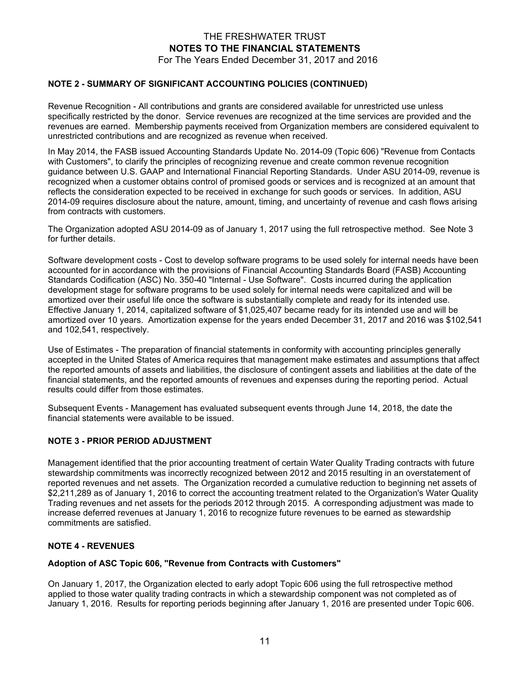For The Years Ended December 31, 2017 and 2016

## **NOTE 2 - SUMMARY OF SIGNIFICANT ACCOUNTING POLICIES (CONTINUED)**

Revenue Recognition - All contributions and grants are considered available for unrestricted use unless specifically restricted by the donor. Service revenues are recognized at the time services are provided and the revenues are earned. Membership payments received from Organization members are considered equivalent to unrestricted contributions and are recognized as revenue when received.

In May 2014, the FASB issued Accounting Standards Update No. 2014-09 (Topic 606) "Revenue from Contacts with Customers", to clarify the principles of recognizing revenue and create common revenue recognition guidance between U.S. GAAP and International Financial Reporting Standards. Under ASU 2014-09, revenue is recognized when a customer obtains control of promised goods or services and is recognized at an amount that reflects the consideration expected to be received in exchange for such goods or services. In addition, ASU 2014-09 requires disclosure about the nature, amount, timing, and uncertainty of revenue and cash flows arising from contracts with customers.

The Organization adopted ASU 2014-09 as of January 1, 2017 using the full retrospective method. See Note 3 for further details.

Software development costs - Cost to develop software programs to be used solely for internal needs have been accounted for in accordance with the provisions of Financial Accounting Standards Board (FASB) Accounting Standards Codification (ASC) No. 350-40 "Internal - Use Software". Costs incurred during the application development stage for software programs to be used solely for internal needs were capitalized and will be amortized over their useful life once the software is substantially complete and ready for its intended use. Effective January 1, 2014, capitalized software of \$1,025,407 became ready for its intended use and will be amortized over 10 years. Amortization expense for the years ended December 31, 2017 and 2016 was \$102,541 and 102,541, respectively.

Use of Estimates - The preparation of financial statements in conformity with accounting principles generally accepted in the United States of America requires that management make estimates and assumptions that affect the reported amounts of assets and liabilities, the disclosure of contingent assets and liabilities at the date of the financial statements, and the reported amounts of revenues and expenses during the reporting period. Actual results could differ from those estimates.

Subsequent Events - Management has evaluated subsequent events through June 14, 2018, the date the financial statements were available to be issued.

## **NOTE 3 - PRIOR PERIOD ADJUSTMENT**

Management identified that the prior accounting treatment of certain Water Quality Trading contracts with future stewardship commitments was incorrectly recognized between 2012 and 2015 resulting in an overstatement of reported revenues and net assets. The Organization recorded a cumulative reduction to beginning net assets of \$2,211,289 as of January 1, 2016 to correct the accounting treatment related to the Organization's Water Quality Trading revenues and net assets for the periods 2012 through 2015. A corresponding adjustment was made to increase deferred revenues at January 1, 2016 to recognize future revenues to be earned as stewardship commitments are satisfied.

#### **NOTE 4 - REVENUES**

#### **Adoption of ASC Topic 606, "Revenue from Contracts with Customers"**

On January 1, 2017, the Organization elected to early adopt Topic 606 using the full retrospective method applied to those water quality trading contracts in which a stewardship component was not completed as of January 1, 2016. Results for reporting periods beginning after January 1, 2016 are presented under Topic 606.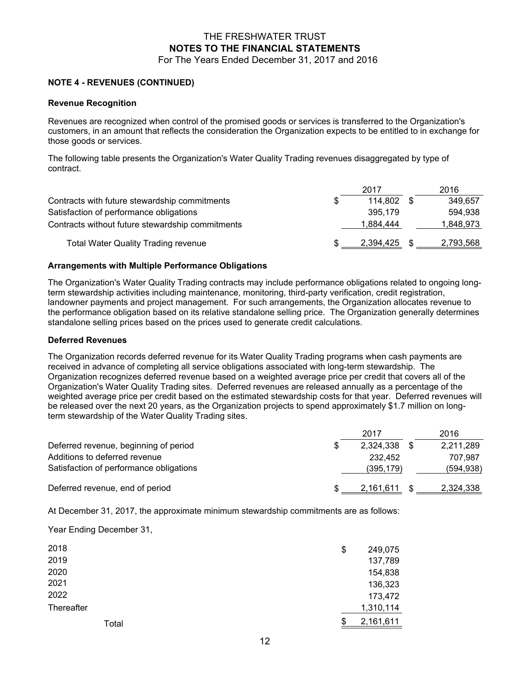For The Years Ended December 31, 2017 and 2016

## **NOTE 4 - REVENUES (CONTINUED)**

#### **Revenue Recognition**

Revenues are recognized when control of the promised goods or services is transferred to the Organization's customers, in an amount that reflects the consideration the Organization expects to be entitled to in exchange for those goods or services.

The following table presents the Organization's Water Quality Trading revenues disaggregated by type of contract.

|                                                  |     | 2017      | 2016      |
|--------------------------------------------------|-----|-----------|-----------|
| Contracts with future stewardship commitments    | \$. | 114.802   | 349.657   |
| Satisfaction of performance obligations          |     | 395.179   | 594.938   |
| Contracts without future stewardship commitments |     | 1.884.444 | 1,848,973 |
| <b>Total Water Quality Trading revenue</b>       |     | 2.394.425 | 2,793,568 |

## **Arrangements with Multiple Performance Obligations**

The Organization's Water Quality Trading contracts may include performance obligations related to ongoing longterm stewardship activities including maintenance, monitoring, third-party verification, credit registration, landowner payments and project management. For such arrangements, the Organization allocates revenue to the performance obligation based on its relative standalone selling price. The Organization generally determines standalone selling prices based on the prices used to generate credit calculations.

#### **Deferred Revenues**

The Organization records deferred revenue for its Water Quality Trading programs when cash payments are received in advance of completing all service obligations associated with long-term stewardship. The Organization recognizes deferred revenue based on a weighted average price per credit that covers all of the Organization's Water Quality Trading sites. Deferred revenues are released annually as a percentage of the weighted average price per credit based on the estimated stewardship costs for that year. Deferred revenues will be released over the next 20 years, as the Organization projects to spend approximately \$1.7 million on longterm stewardship of the Water Quality Trading sites.

|                                         | 2017       | 2016       |
|-----------------------------------------|------------|------------|
| Deferred revenue, beginning of period   | 2,324,338  | 2,211,289  |
| Additions to deferred revenue           | 232.452    | 707.987    |
| Satisfaction of performance obligations | (395, 179) | (594, 938) |
| Deferred revenue, end of period         | 2,161,611  | 2,324,338  |

At December 31, 2017, the approximate minimum stewardship commitments are as follows:

Year Ending December 31,

| 2018       | \$<br>249,075  |
|------------|----------------|
| 2019       | 137,789        |
| 2020       | 154,838        |
| 2021       | 136,323        |
| 2022       | 173,472        |
| Thereafter | 1,310,114      |
| Total      | 2,161,611<br>S |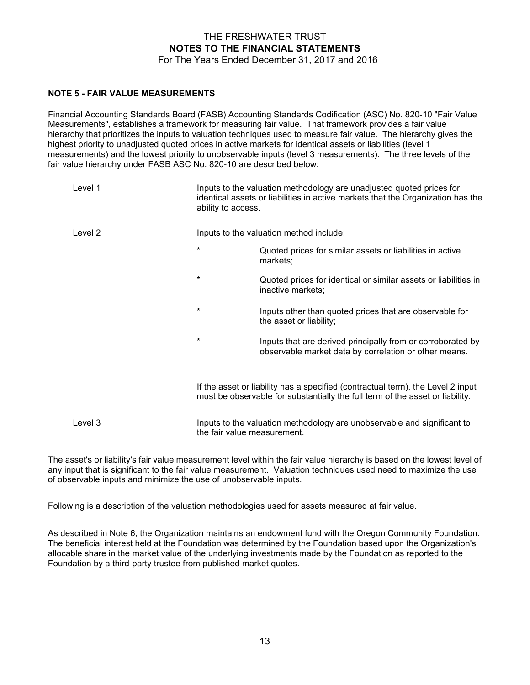For The Years Ended December 31, 2017 and 2016

## **NOTE 5 - FAIR VALUE MEASUREMENTS**

Financial Accounting Standards Board (FASB) Accounting Standards Codification (ASC) No. 820-10 "Fair Value Measurements", establishes a framework for measuring fair value. That framework provides a fair value hierarchy that prioritizes the inputs to valuation techniques used to measure fair value. The hierarchy gives the highest priority to unadjusted quoted prices in active markets for identical assets or liabilities (level 1 measurements) and the lowest priority to unobservable inputs (level 3 measurements). The three levels of the fair value hierarchy under FASB ASC No. 820-10 are described below:

| Level 1 | Inputs to the valuation methodology are unadjusted quoted prices for<br>identical assets or liabilities in active markets that the Organization has the<br>ability to access. |  |
|---------|-------------------------------------------------------------------------------------------------------------------------------------------------------------------------------|--|
| Level 2 | Inputs to the valuation method include:                                                                                                                                       |  |
|         | $\star$<br>Quoted prices for similar assets or liabilities in active<br>markets;                                                                                              |  |
|         | $\ast$<br>Quoted prices for identical or similar assets or liabilities in<br>inactive markets;                                                                                |  |
|         | $\star$<br>Inputs other than quoted prices that are observable for<br>the asset or liability;                                                                                 |  |
|         | *<br>Inputs that are derived principally from or corroborated by<br>observable market data by correlation or other means.                                                     |  |
|         | If the asset or liability has a specified (contractual term), the Level 2 input<br>must be observable for substantially the full term of the asset or liability.              |  |
| Level 3 | Inputs to the valuation methodology are unobservable and significant to<br>the fair value measurement.                                                                        |  |

The asset's or liability's fair value measurement level within the fair value hierarchy is based on the lowest level of any input that is significant to the fair value measurement. Valuation techniques used need to maximize the use of observable inputs and minimize the use of unobservable inputs.

Following is a description of the valuation methodologies used for assets measured at fair value.

As described in Note 6, the Organization maintains an endowment fund with the Oregon Community Foundation. The beneficial interest held at the Foundation was determined by the Foundation based upon the Organization's allocable share in the market value of the underlying investments made by the Foundation as reported to the Foundation by a third-party trustee from published market quotes.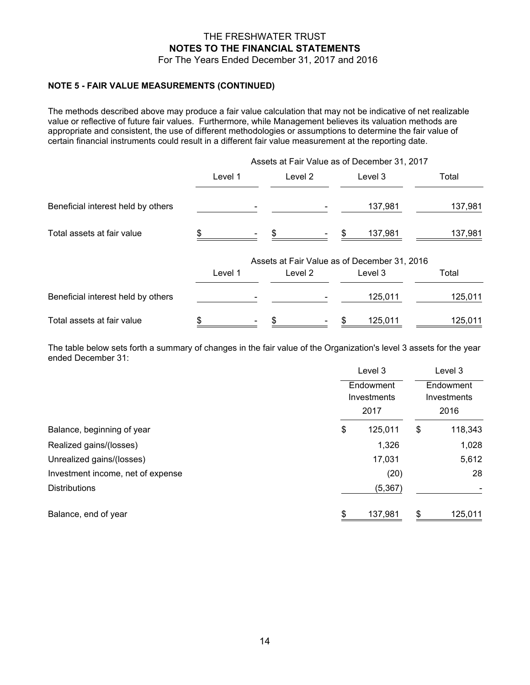For The Years Ended December 31, 2017 and 2016

## **NOTE 5 - FAIR VALUE MEASUREMENTS (CONTINUED)**

The methods described above may produce a fair value calculation that may not be indicative of net realizable value or reflective of future fair values. Furthermore, while Management believes its valuation methods are appropriate and consistent, the use of different methodologies or assumptions to determine the fair value of certain financial instruments could result in a different fair value measurement at the reporting date.

|                                    |         |    |         | Assets at Fair Value as of December 31, 2017 |         |
|------------------------------------|---------|----|---------|----------------------------------------------|---------|
|                                    | Level 1 |    | Level 2 | Level 3                                      | Total   |
| Beneficial interest held by others |         |    |         | 137,981                                      | 137,981 |
| Total assets at fair value         | \$      |    |         | \$<br>137,981                                | 137,981 |
|                                    |         |    |         | Assets at Fair Value as of December 31, 2016 |         |
|                                    | Level 1 |    | Level 2 | Level 3                                      | Total   |
| Beneficial interest held by others |         |    |         | 125,011                                      | 125,011 |
| Total assets at fair value         | \$      | \$ |         | \$<br>125,011                                | 125,011 |

The table below sets forth a summary of changes in the fair value of the Organization's level 3 assets for the year ended December 31:

|                                   |                                  | Level 3  |                                  | Level 3 |
|-----------------------------------|----------------------------------|----------|----------------------------------|---------|
|                                   | Endowment<br>Investments<br>2017 |          | Endowment<br>Investments<br>2016 |         |
| Balance, beginning of year        | \$                               | 125,011  | \$                               | 118,343 |
| Realized gains/(losses)           |                                  | 1,326    |                                  | 1,028   |
| Unrealized gains/(losses)         |                                  | 17,031   |                                  | 5,612   |
| Investment income, net of expense |                                  | (20)     |                                  | 28      |
| <b>Distributions</b>              |                                  | (5, 367) |                                  |         |
| Balance, end of year              | \$                               | 137,981  | \$                               | 125,011 |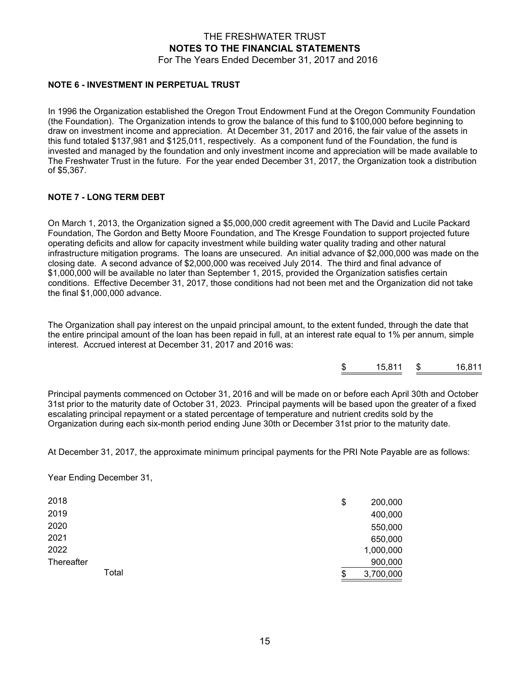For The Years Ended December 31, 2017 and 2016

## **NOTE 6 - INVESTMENT IN PERPETUAL TRUST**

In 1996 the Organization established the Oregon Trout Endowment Fund at the Oregon Community Foundation (the Foundation). The Organization intends to grow the balance of this fund to \$100,000 before beginning to draw on investment income and appreciation. At December 31, 2017 and 2016, the fair value of the assets in this fund totaled \$137,981 and \$125,011, respectively. As a component fund of the Foundation, the fund is invested and managed by the foundation and only investment income and appreciation will be made available to The Freshwater Trust in the future. For the year ended December 31, 2017, the Organization took a distribution of \$5,367.

## **NOTE 7 - LONG TERM DEBT**

On March 1, 2013, the Organization signed a \$5,000,000 credit agreement with The David and Lucile Packard Foundation, The Gordon and Betty Moore Foundation, and The Kresge Foundation to support projected future operating deficits and allow for capacity investment while building water quality trading and other natural infrastructure mitigation programs. The loans are unsecured. An initial advance of \$2,000,000 was made on the closing date. A second advance of \$2,000,000 was received July 2014. The third and final advance of \$1,000,000 will be available no later than September 1, 2015, provided the Organization satisfies certain conditions. Effective December 31, 2017, those conditions had not been met and the Organization did not take the final \$1,000,000 advance.

The Organization shall pay interest on the unpaid principal amount, to the extent funded, through the date that the entire principal amount of the loan has been repaid in full, at an interest rate equal to 1% per annum, simple interest. Accrued interest at December 31, 2017 and 2016 was:

| 15.811 | 16.811 |
|--------|--------|
|--------|--------|

Principal payments commenced on October 31, 2016 and will be made on or before each April 30th and October 31st prior to the maturity date of October 31, 2023. Principal payments will be based upon the greater of a fixed escalating principal repayment or a stated percentage of temperature and nutrient credits sold by the Organization during each six-month period ending June 30th or December 31st prior to the maturity date.

At December 31, 2017, the approximate minimum principal payments for the PRI Note Payable are as follows:

Year Ending December 31,

| 2018       |       | \$<br>200,000   |
|------------|-------|-----------------|
| 2019       |       | 400,000         |
| 2020       |       | 550,000         |
| 2021       |       | 650,000         |
| 2022       |       | 1,000,000       |
| Thereafter |       | 900,000         |
|            | Total | \$<br>3,700,000 |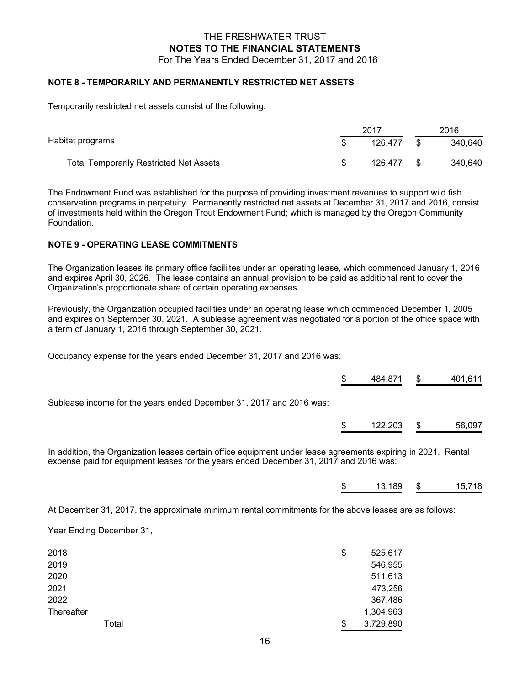For The Years Ended December 31, 2017 and 2016

## **NOTE 8 - TEMPORARILY AND PERMANENTLY RESTRICTED NET ASSETS**

Temporarily restricted net assets consist of the following:

|                                                | 2017    | 2016    |
|------------------------------------------------|---------|---------|
| Habitat programs                               | 126.477 | 340,640 |
| <b>Total Temporarily Restricted Net Assets</b> | 126.477 | 340,640 |

The Endowment Fund was established for the purpose of providing investment revenues to support wild fish conservation programs in perpetuity. Permanently restricted net assets at December 31, 2017 and 2016, consist of investments held within the Oregon Trout Endowment Fund; which is managed by the Oregon Community Foundation.

### **NOTE 9 - OPERATING LEASE COMMITMENTS**

The Organization leases its primary office faciliites under an operating lease, which commenced January 1, 2016 and expires April 30, 2026. The lease contains an annual provision to be paid as additional rent to cover the Organization's proportionate share of certain operating expenses.

Previously, the Organization occupied facilities under an operating lease which commenced December 1, 2005 and expires on September 30, 2021. A sublease agreement was negotiated for a portion of the office space with a term of January 1, 2016 through September 30, 2021.

Occupancy expense for the years ended December 31, 2017 and 2016 was:

|                                                                     | S | 484,871 | S    | 401,611 |
|---------------------------------------------------------------------|---|---------|------|---------|
| Sublease income for the years ended December 31, 2017 and 2016 was: |   |         |      |         |
|                                                                     | S | 122,203 | - \$ | 56,097  |

In addition, the Organization leases certain office equipment under lease agreements expiring in 2021. Rental expense paid for equipment leases for the years ended December 31, 2017 and 2016 was:

| 13,189 |  | 15,718 |
|--------|--|--------|
|--------|--|--------|

At December 31, 2017, the approximate minimum rental commitments for the above leases are as follows:

Year Ending December 31,

| 2018       | \$<br>525,617   |
|------------|-----------------|
| 2019       | 546,955         |
| 2020       | 511,613         |
| 2021       | 473,256         |
| 2022       | 367,486         |
| Thereafter | 1,304,963       |
| Total      | 3,729,890<br>\$ |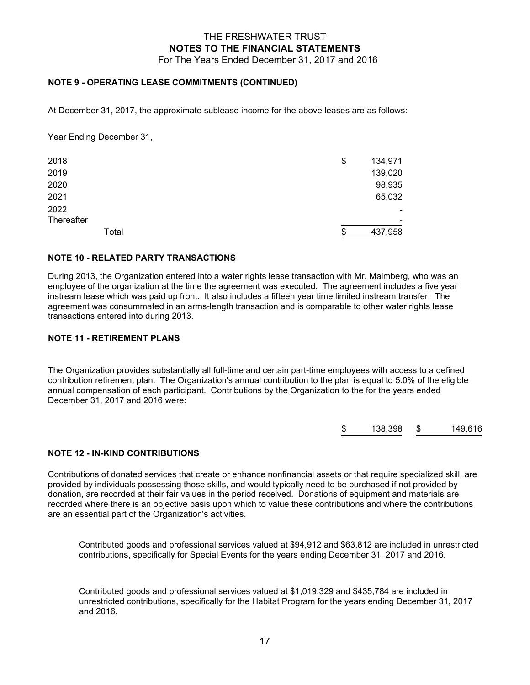For The Years Ended December 31, 2017 and 2016

## **NOTE 9 - OPERATING LEASE COMMITMENTS (CONTINUED)**

At December 31, 2017, the approximate sublease income for the above leases are as follows:

Year Ending December 31,

| 2018       |       | \$<br>134,971            |
|------------|-------|--------------------------|
| 2019       |       | 139,020                  |
| 2020       |       | 98,935                   |
| 2021       |       | 65,032                   |
| 2022       |       | ۰                        |
| Thereafter |       | $\overline{\phantom{0}}$ |
|            | Total | \$<br>437,958            |

### **NOTE 10 - RELATED PARTY TRANSACTIONS**

During 2013, the Organization entered into a water rights lease transaction with Mr. Malmberg, who was an employee of the organization at the time the agreement was executed. The agreement includes a five year instream lease which was paid up front. It also includes a fifteen year time limited instream transfer. The agreement was consummated in an arms-length transaction and is comparable to other water rights lease transactions entered into during 2013.

## **NOTE 11 - RETIREMENT PLANS**

The Organization provides substantially all full-time and certain part-time employees with access to a defined contribution retirement plan. The Organization's annual contribution to the plan is equal to 5.0% of the eligible annual compensation of each participant. Contributions by the Organization to the for the years ended December 31, 2017 and 2016 were:

\$ 149,616 138,398 \$

## **NOTE 12 - IN-KIND CONTRIBUTIONS**

Contributions of donated services that create or enhance nonfinancial assets or that require specialized skill, are provided by individuals possessing those skills, and would typically need to be purchased if not provided by donation, are recorded at their fair values in the period received. Donations of equipment and materials are recorded where there is an objective basis upon which to value these contributions and where the contributions are an essential part of the Organization's activities.

Contributed goods and professional services valued at \$94,912 and \$63,812 are included in unrestricted contributions, specifically for Special Events for the years ending December 31, 2017 and 2016.

Contributed goods and professional services valued at \$1,019,329 and \$435,784 are included in unrestricted contributions, specifically for the Habitat Program for the years ending December 31, 2017 and 2016.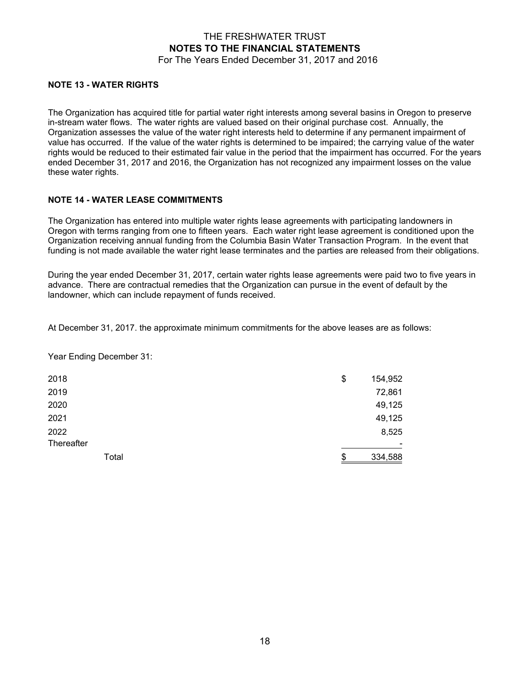For The Years Ended December 31, 2017 and 2016

## **NOTE 13 - WATER RIGHTS**

The Organization has acquired title for partial water right interests among several basins in Oregon to preserve in-stream water flows. The water rights are valued based on their original purchase cost. Annually, the Organization assesses the value of the water right interests held to determine if any permanent impairment of value has occurred. If the value of the water rights is determined to be impaired; the carrying value of the water rights would be reduced to their estimated fair value in the period that the impairment has occurred. For the years ended December 31, 2017 and 2016, the Organization has not recognized any impairment losses on the value these water rights.

## **NOTE 14 - WATER LEASE COMMITMENTS**

The Organization has entered into multiple water rights lease agreements with participating landowners in Oregon with terms ranging from one to fifteen years. Each water right lease agreement is conditioned upon the Organization receiving annual funding from the Columbia Basin Water Transaction Program. In the event that funding is not made available the water right lease terminates and the parties are released from their obligations.

During the year ended December 31, 2017, certain water rights lease agreements were paid two to five years in advance. There are contractual remedies that the Organization can pursue in the event of default by the landowner, which can include repayment of funds received.

At December 31, 2017. the approximate minimum commitments for the above leases are as follows:

Year Ending December 31:

| 2018       | \$<br>154,952 |
|------------|---------------|
| 2019       | 72,861        |
| 2020       | 49,125        |
| 2021       | 49,125        |
| 2022       | 8,525         |
| Thereafter |               |
| Total      | \$<br>334,588 |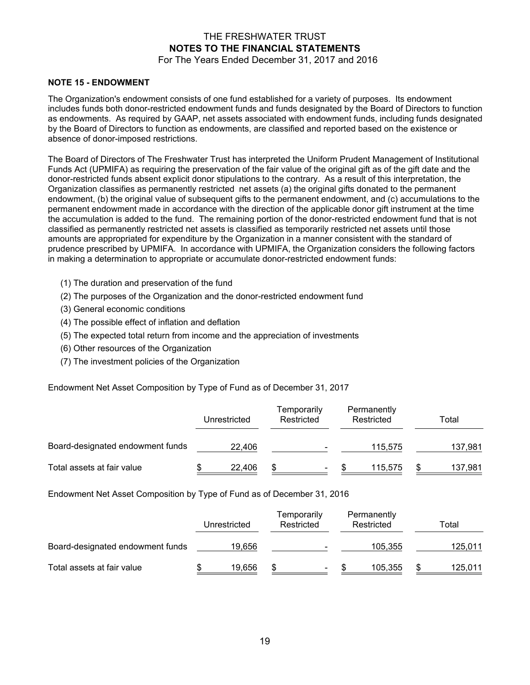## For The Years Ended December 31, 2017 and 2016

## **NOTE 15 - ENDOWMENT**

The Organization's endowment consists of one fund established for a variety of purposes. Its endowment includes funds both donor-restricted endowment funds and funds designated by the Board of Directors to function as endowments. As required by GAAP, net assets associated with endowment funds, including funds designated by the Board of Directors to function as endowments, are classified and reported based on the existence or absence of donor-imposed restrictions.

The Board of Directors of The Freshwater Trust has interpreted the Uniform Prudent Management of Institutional Funds Act (UPMIFA) as requiring the preservation of the fair value of the original gift as of the gift date and the donor-restricted funds absent explicit donor stipulations to the contrary. As a result of this interpretation, the Organization classifies as permanently restricted net assets (a) the original gifts donated to the permanent endowment, (b) the original value of subsequent gifts to the permanent endowment, and (c) accumulations to the permanent endowment made in accordance with the direction of the applicable donor gift instrument at the time the accumulation is added to the fund. The remaining portion of the donor-restricted endowment fund that is not classified as permanently restricted net assets is classified as temporarily restricted net assets until those amounts are appropriated for expenditure by the Organization in a manner consistent with the standard of prudence prescribed by UPMIFA. In accordance with UPMIFA, the Organization considers the following factors in making a determination to appropriate or accumulate donor-restricted endowment funds:

- (1) The duration and preservation of the fund
- (2) The purposes of the Organization and the donor-restricted endowment fund
- (3) General economic conditions
- (4) The possible effect of inflation and deflation
- (5) The expected total return from income and the appreciation of investments
- (6) Other resources of the Organization
- (7) The investment policies of the Organization

Endowment Net Asset Composition by Type of Fund as of December 31, 2017

|                                  | Unrestricted | Temporarily<br>Restricted | Permanently<br>Restricted |   | Total   |
|----------------------------------|--------------|---------------------------|---------------------------|---|---------|
| Board-designated endowment funds | 22,406       |                           | 115,575                   |   | 137,981 |
| Total assets at fair value       | 22,406       | ۰.                        | 115,575                   | S | 137,981 |

Endowment Net Asset Composition by Type of Fund as of December 31, 2016

|                                  | Unrestricted | Temporarily<br>Restricted | Permanently<br>Restricted | Total   |
|----------------------------------|--------------|---------------------------|---------------------------|---------|
| Board-designated endowment funds | 19,656       |                           | 105,355                   | 125,011 |
| Total assets at fair value       | 19.656       | $\sim$                    | 105,355                   | 125,011 |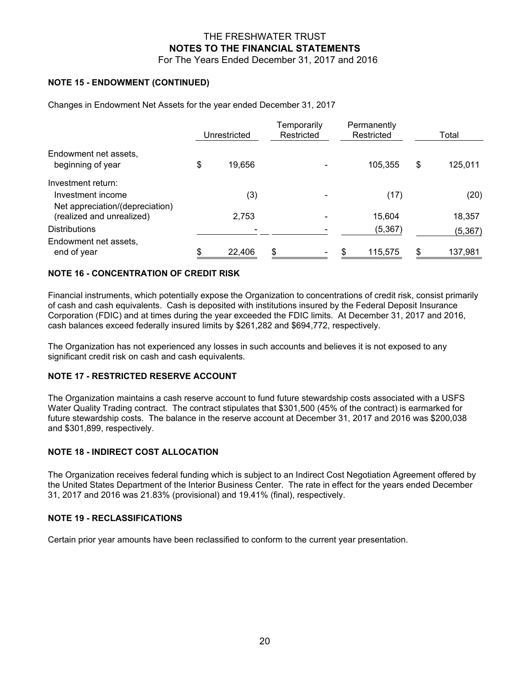For The Years Ended December 31, 2017 and 2016

## **NOTE 15 - ENDOWMENT (CONTINUED)**

Changes in Endowment Net Assets for the year ended December 31, 2017

|                                                              | Unrestricted | Temporarily<br>Restricted |   | Permanently<br>Restricted |     | Total    |
|--------------------------------------------------------------|--------------|---------------------------|---|---------------------------|-----|----------|
| Endowment net assets,<br>beginning of year                   | \$<br>19,656 |                           |   | 105,355                   | \$  | 125,011  |
| Investment return:<br>Investment income                      | (3)          |                           |   | (17)                      |     | (20)     |
| Net appreciation/(depreciation)<br>(realized and unrealized) | 2,753        |                           |   | 15,604                    |     | 18,357   |
| <b>Distributions</b>                                         |              |                           |   | (5, 367)                  |     | (5, 367) |
| Endowment net assets,<br>end of year                         | 22,406       | \$                        | S | 115,575                   | \$. | 137,981  |

## **NOTE 16 - CONCENTRATION OF CREDIT RISK**

Financial instruments, which potentially expose the Organization to concentrations of credit risk, consist primarily of cash and cash equivalents. Cash is deposited with institutions insured by the Federal Deposit Insurance Corporation (FDIC) and at times during the year exceeded the FDIC limits. At December 31, 2017 and 2016, cash balances exceed federally insured limits by \$261,282 and \$694,772, respectively.

The Organization has not experienced any losses in such accounts and believes it is not exposed to any significant credit risk on cash and cash equivalents.

## **NOTE 17 - RESTRICTED RESERVE ACCOUNT**

The Organization maintains a cash reserve account to fund future stewardship costs associated with a USFS Water Quality Trading contract. The contract stipulates that \$301,500 (45% of the contract) is earmarked for future stewardship costs. The balance in the reserve account at December 31, 2017 and 2016 was \$200,038 and \$301,899, respectively.

## **NOTE 18 - INDIRECT COST ALLOCATION**

The Organization receives federal funding which is subject to an Indirect Cost Negotiation Agreement offered by the United States Department of the Interior Business Center. The rate in effect for the years ended December 31, 2017 and 2016 was 21.83% (provisional) and 19.41% (final), respectively.

## **NOTE 19 - RECLASSIFICATIONS**

Certain prior year amounts have been reclassified to conform to the current year presentation.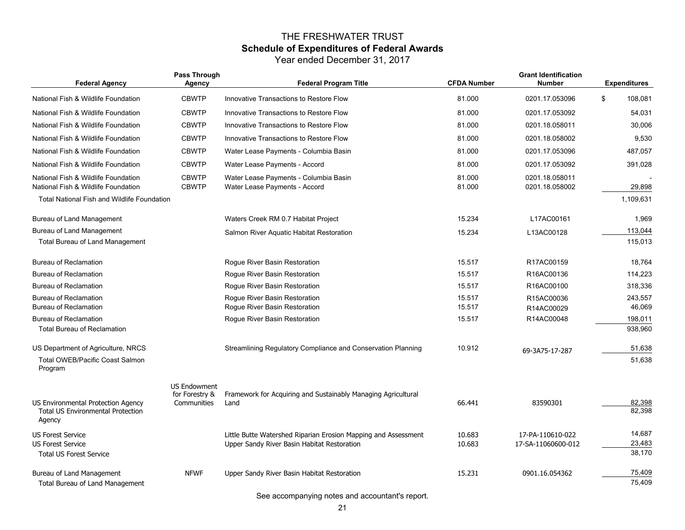## THE FRESHWATER TRUST**Schedule of Expenditures of Federal Awards** Year ended December 31, 2017

| <b>Federal Agency</b>                                                                                                            | Pass Through<br><b>Agency</b>                        | <b>Federal Program Title</b>                                           | <b>CFDA Number</b> | <b>Grant Identification</b><br><b>Number</b> | <b>Expenditures</b> |
|----------------------------------------------------------------------------------------------------------------------------------|------------------------------------------------------|------------------------------------------------------------------------|--------------------|----------------------------------------------|---------------------|
| National Fish & Wildlife Foundation                                                                                              | <b>CBWTP</b>                                         | Innovative Transactions to Restore Flow                                | 81.000             | 0201.17.053096                               | \$<br>108,081       |
| National Fish & Wildlife Foundation                                                                                              | <b>CBWTP</b>                                         | Innovative Transactions to Restore Flow                                | 81.000             | 0201.17.053092                               | 54,031              |
| National Fish & Wildlife Foundation                                                                                              | <b>CBWTP</b>                                         | Innovative Transactions to Restore Flow                                | 81.000             | 0201.18.058011                               | 30,006              |
| National Fish & Wildlife Foundation                                                                                              | <b>CBWTP</b>                                         | Innovative Transactions to Restore Flow                                | 81.000             | 0201.18.058002                               | 9,530               |
| National Fish & Wildlife Foundation                                                                                              | <b>CBWTP</b>                                         | Water Lease Payments - Columbia Basin                                  | 81.000             | 0201.17.053096                               | 487,057             |
| National Fish & Wildlife Foundation                                                                                              | <b>CBWTP</b>                                         | Water Lease Payments - Accord                                          | 81.000             | 0201.17.053092                               | 391,028             |
| National Fish & Wildlife Foundation<br>National Fish & Wildlife Foundation<br><b>Total National Fish and Wildlife Foundation</b> | <b>CBWTP</b><br><b>CBWTP</b>                         | Water Lease Payments - Columbia Basin<br>Water Lease Payments - Accord | 81.000<br>81.000   | 0201.18.058011<br>0201.18.058002             | 29,898              |
|                                                                                                                                  |                                                      |                                                                        |                    |                                              | 1,109,631           |
| Bureau of Land Management                                                                                                        |                                                      | Waters Creek RM 0.7 Habitat Project                                    | 15.234             | L17AC00161                                   | 1,969               |
| <b>Bureau of Land Management</b>                                                                                                 |                                                      | Salmon River Aquatic Habitat Restoration                               | 15.234             | L13AC00128                                   | 113,044             |
| Total Bureau of Land Management                                                                                                  |                                                      |                                                                        |                    |                                              | 115,013             |
| <b>Bureau of Reclamation</b>                                                                                                     |                                                      | Rogue River Basin Restoration                                          | 15.517             | R17AC00159                                   | 18,764              |
| <b>Bureau of Reclamation</b>                                                                                                     |                                                      | Rogue River Basin Restoration                                          | 15.517             | R16AC00136                                   | 114,223             |
| <b>Bureau of Reclamation</b>                                                                                                     |                                                      | Rogue River Basin Restoration                                          | 15.517             | R16AC00100                                   | 318,336             |
| <b>Bureau of Reclamation</b><br><b>Bureau of Reclamation</b>                                                                     |                                                      | Rogue River Basin Restoration                                          | 15.517<br>15.517   | R15AC00036                                   | 243,557<br>46,069   |
| <b>Bureau of Reclamation</b>                                                                                                     |                                                      | Rogue River Basin Restoration                                          | 15.517             | R14AC00029<br>R14AC00048                     | 198,011             |
| <b>Total Bureau of Reclamation</b>                                                                                               |                                                      | Rogue River Basin Restoration                                          |                    |                                              | 938,960             |
| US Department of Agriculture, NRCS                                                                                               |                                                      | Streamlining Regulatory Compliance and Conservation Planning           | 10.912             | 69-3A75-17-287                               | 51,638              |
| <b>Total OWEB/Pacific Coast Salmon</b><br>Program                                                                                |                                                      |                                                                        |                    |                                              | 51,638              |
| US Environmental Protection Agency<br><b>Total US Environmental Protection</b><br>Agency                                         | <b>US Endowment</b><br>for Forestry &<br>Communities | Framework for Acquiring and Sustainably Managing Agricultural<br>Land  | 66.441             | 83590301                                     | 82,398<br>82,398    |
| <b>US Forest Service</b>                                                                                                         |                                                      | Little Butte Watershed Riparian Erosion Mapping and Assessment         | 10.683             | 17-PA-110610-022                             | 14,687              |
| <b>US Forest Service</b>                                                                                                         |                                                      | Upper Sandy River Basin Habitat Restoration                            | 10.683             | 17-SA-11060600-012                           | 23,483              |
| <b>Total US Forest Service</b>                                                                                                   |                                                      |                                                                        |                    |                                              | 38,170              |
| Bureau of Land Management                                                                                                        | <b>NFWF</b>                                          | Upper Sandy River Basin Habitat Restoration                            | 15.231             | 0901.16.054362                               | 75,409              |
| Total Bureau of Land Management                                                                                                  |                                                      |                                                                        |                    |                                              | 75,409              |

See accompanying notes and accountant's report.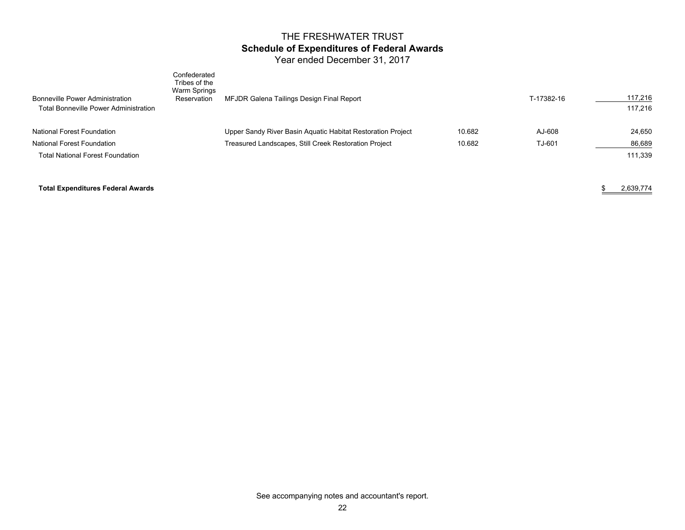## THE FRESHWATER TRUST**Schedule of Expenditures of Federal Awards** Year ended December 31, 2017

| <b>Bonneville Power Administration</b><br><b>Total Bonneville Power Administration</b> | Confederated<br>Tribes of the<br>Warm Springs<br>Reservation | MFJDR Galena Tailings Design Final Report                   |        | T-17382-16 | 117,216<br>117,216 |
|----------------------------------------------------------------------------------------|--------------------------------------------------------------|-------------------------------------------------------------|--------|------------|--------------------|
| National Forest Foundation                                                             |                                                              | Upper Sandy River Basin Aquatic Habitat Restoration Project | 10.682 | AJ-608     | 24,650             |
| National Forest Foundation                                                             |                                                              | Treasured Landscapes, Still Creek Restoration Project       | 10.682 | TJ-601     | 86,689             |
|                                                                                        |                                                              |                                                             |        |            |                    |
| <b>Total National Forest Foundation</b>                                                |                                                              |                                                             |        |            | 111,339            |
| <b>Total Expenditures Federal Awards</b>                                               |                                                              |                                                             |        |            | 2,639,774          |

See accompanying notes and accountant's report.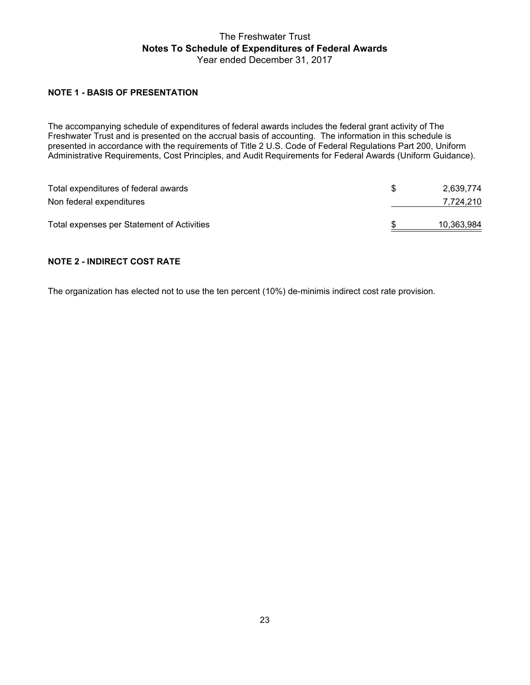## The Freshwater Trust **Notes To Schedule of Expenditures of Federal Awards** Year ended December 31, 2017

## **NOTE 1 - BASIS OF PRESENTATION**

The accompanying schedule of expenditures of federal awards includes the federal grant activity of The Freshwater Trust and is presented on the accrual basis of accounting. The information in this schedule is presented in accordance with the requirements of Title 2 U.S. Code of Federal Regulations Part 200, Uniform Administrative Requirements, Cost Principles, and Audit Requirements for Federal Awards (Uniform Guidance).

| Total expenditures of federal awards       | 2.639.774  |
|--------------------------------------------|------------|
| Non federal expenditures                   | 7.724.210  |
| Total expenses per Statement of Activities | 10,363,984 |

## **NOTE 2 - INDIRECT COST RATE**

The organization has elected not to use the ten percent (10%) de-minimis indirect cost rate provision.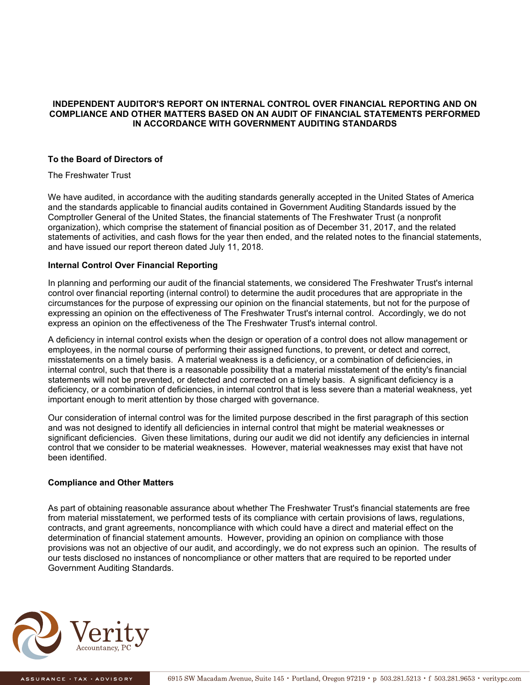### **INDEPENDENT AUDITOR'S REPORT ON INTERNAL CONTROL OVER FINANCIAL REPORTING AND ON COMPLIANCE AND OTHER MATTERS BASED ON AN AUDIT OF FINANCIAL STATEMENTS PERFORMED IN ACCORDANCE WITH GOVERNMENT AUDITING STANDARDS**

### **To the Board of Directors of**

### The Freshwater Trust

We have audited, in accordance with the auditing standards generally accepted in the United States of America and the standards applicable to financial audits contained in Government Auditing Standards issued by the Comptroller General of the United States, the financial statements of The Freshwater Trust (a nonprofit organization), which comprise the statement of financial position as of December 31, 2017, and the related statements of activities, and cash flows for the year then ended, and the related notes to the financial statements, and have issued our report thereon dated July 11, 2018.

### **Internal Control Over Financial Reporting**

In planning and performing our audit of the financial statements, we considered The Freshwater Trust's internal control over financial reporting (internal control) to determine the audit procedures that are appropriate in the circumstances for the purpose of expressing our opinion on the financial statements, but not for the purpose of expressing an opinion on the effectiveness of The Freshwater Trust's internal control. Accordingly, we do not express an opinion on the effectiveness of the The Freshwater Trust's internal control.

A deficiency in internal control exists when the design or operation of a control does not allow management or employees, in the normal course of performing their assigned functions, to prevent, or detect and correct, misstatements on a timely basis. A material weakness is a deficiency, or a combination of deficiencies, in internal control, such that there is a reasonable possibility that a material misstatement of the entity's financial statements will not be prevented, or detected and corrected on a timely basis. A significant deficiency is a deficiency, or a combination of deficiencies, in internal control that is less severe than a material weakness, yet important enough to merit attention by those charged with governance.

Our consideration of internal control was for the limited purpose described in the first paragraph of this section and was not designed to identify all deficiencies in internal control that might be material weaknesses or significant deficiencies. Given these limitations, during our audit we did not identify any deficiencies in internal control that we consider to be material weaknesses. However, material weaknesses may exist that have not been identified.

## **Compliance and Other Matters**

As part of obtaining reasonable assurance about whether The Freshwater Trust's financial statements are free from material misstatement, we performed tests of its compliance with certain provisions of laws, regulations, contracts, and grant agreements, noncompliance with which could have a direct and material effect on the determination of financial statement amounts. However, providing an opinion on compliance with those provisions was not an objective of our audit, and accordingly, we do not express such an opinion. The results of our tests disclosed no instances of noncompliance or other matters that are required to be reported under Government Auditing Standards.

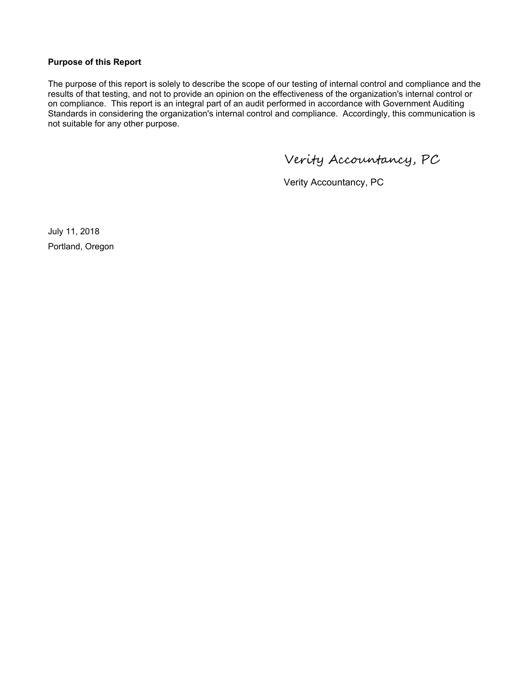### **Purpose of this Report**

The purpose of this report is solely to describe the scope of our testing of internal control and compliance and the results of that testing, and not to provide an opinion on the effectiveness of the organization's internal control or on compliance. This report is an integral part of an audit performed in accordance with Government Auditing Standards in considering the organization's internal control and compliance. Accordingly, this communication is not suitable for any other purpose.

Verity Accountancy, PC

Verity Accountancy, PC

July 11, 2018 Portland, Oregon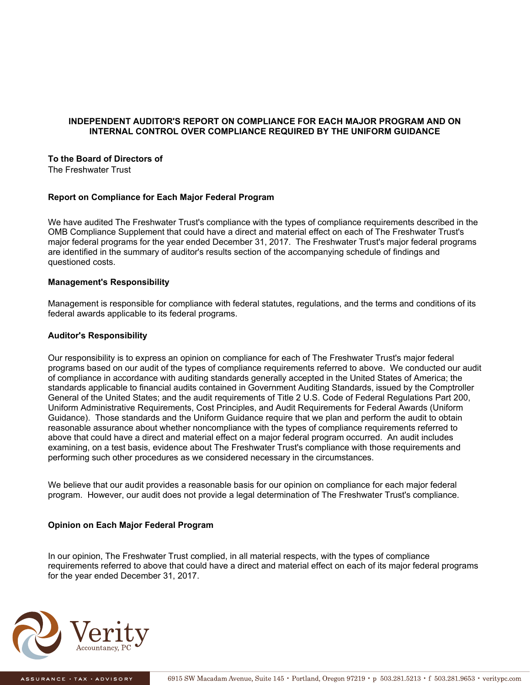## **INDEPENDENT AUDITOR'S REPORT ON COMPLIANCE FOR EACH MAJOR PROGRAM AND ON INTERNAL CONTROL OVER COMPLIANCE REQUIRED BY THE UNIFORM GUIDANCE**

#### **To the Board of Directors of**

The Freshwater Trust

### **Report on Compliance for Each Major Federal Program**

We have audited The Freshwater Trust's compliance with the types of compliance requirements described in the OMB Compliance Supplement that could have a direct and material effect on each of The Freshwater Trust's major federal programs for the year ended December 31, 2017. The Freshwater Trust's major federal programs are identified in the summary of auditor's results section of the accompanying schedule of findings and questioned costs.

#### **Management's Responsibility**

Management is responsible for compliance with federal statutes, regulations, and the terms and conditions of its federal awards applicable to its federal programs.

#### **Auditor's Responsibility**

Our responsibility is to express an opinion on compliance for each of The Freshwater Trust's major federal programs based on our audit of the types of compliance requirements referred to above. We conducted our audit of compliance in accordance with auditing standards generally accepted in the United States of America; the standards applicable to financial audits contained in Government Auditing Standards, issued by the Comptroller General of the United States; and the audit requirements of Title 2 U.S. Code of Federal Regulations Part 200, Uniform Administrative Requirements, Cost Principles, and Audit Requirements for Federal Awards (Uniform Guidance). Those standards and the Uniform Guidance require that we plan and perform the audit to obtain reasonable assurance about whether noncompliance with the types of compliance requirements referred to above that could have a direct and material effect on a major federal program occurred. An audit includes examining, on a test basis, evidence about The Freshwater Trust's compliance with those requirements and performing such other procedures as we considered necessary in the circumstances.

We believe that our audit provides a reasonable basis for our opinion on compliance for each major federal program. However, our audit does not provide a legal determination of The Freshwater Trust's compliance.

## **Opinion on Each Major Federal Program**

In our opinion, The Freshwater Trust complied, in all material respects, with the types of compliance requirements referred to above that could have a direct and material effect on each of its major federal programs for the year ended December 31, 2017.

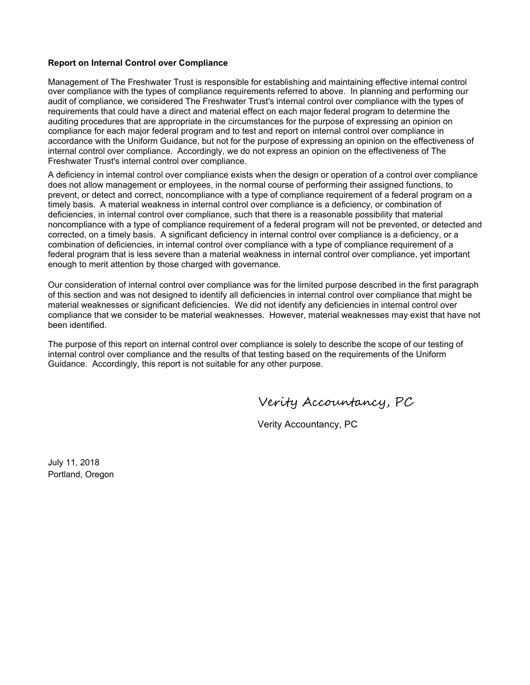#### **Report on Internal Control over Compliance**

Management of The Freshwater Trust is responsible for establishing and maintaining effective internal control over compliance with the types of compliance requirements referred to above. In planning and performing our audit of compliance, we considered The Freshwater Trust's internal control over compliance with the types of requirements that could have a direct and material effect on each major federal program to determine the auditing procedures that are appropriate in the circumstances for the purpose of expressing an opinion on compliance for each major federal program and to test and report on internal control over compliance in accordance with the Uniform Guidance, but not for the purpose of expressing an opinion on the effectiveness of internal control over compliance. Accordingly, we do not express an opinion on the effectiveness of The Freshwater Trust's internal control over compliance.

A deficiency in internal control over compliance exists when the design or operation of a control over compliance does not allow management or employees, in the normal course of performing their assigned functions, to prevent, or detect and correct, noncompliance with a type of compliance requirement of a federal program on a timely basis. A material weakness in internal control over compliance is a deficiency, or combination of deficiencies, in internal control over compliance, such that there is a reasonable possibility that material noncompliance with a type of compliance requirement of a federal program will not be prevented, or detected and corrected, on a timely basis. A significant deficiency in internal control over compliance is a deficiency, or a combination of deficiencies, in internal control over compliance with a type of compliance requirement of a federal program that is less severe than a material weakness in internal control over compliance, yet important enough to merit attention by those charged with governance.

Our consideration of internal control over compliance was for the limited purpose described in the first paragraph of this section and was not designed to identify all deficiencies in internal control over compliance that might be material weaknesses or significant deficiencies. We did not identify any deficiencies in internal control over compliance that we consider to be material weaknesses. However, material weaknesses may exist that have not been identified.

The purpose of this report on internal control over compliance is solely to describe the scope of our testing of internal control over compliance and the results of that testing based on the requirements of the Uniform Guidance. Accordingly, this report is not suitable for any other purpose.

Verity Accountancy, PC

Verity Accountancy, PC

July 11, 2018 Portland, Oregon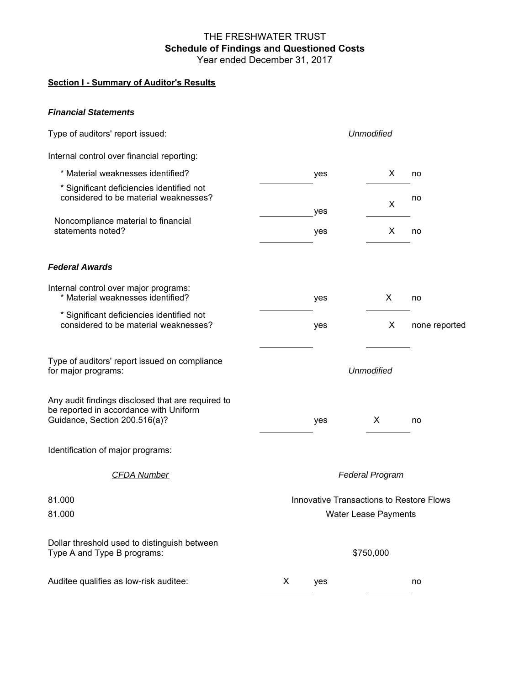## THE FRESHWATER TRUST **Schedule of Findings and Questioned Costs** Year ended December 31, 2017

## **Section I - Summary of Auditor's Results**

## *Financial Statements*

| Type of auditors' report issued:                                                                                             | <b>Unmodified</b>                               |                        |               |  |
|------------------------------------------------------------------------------------------------------------------------------|-------------------------------------------------|------------------------|---------------|--|
| Internal control over financial reporting:                                                                                   |                                                 |                        |               |  |
| * Material weaknesses identified?                                                                                            | yes                                             | X                      | no            |  |
| * Significant deficiencies identified not<br>considered to be material weaknesses?                                           | yes                                             | X                      | no            |  |
| Noncompliance material to financial<br>statements noted?                                                                     | yes                                             | X                      | no            |  |
| <b>Federal Awards</b>                                                                                                        |                                                 |                        |               |  |
| Internal control over major programs:<br>* Material weaknesses identified?                                                   | yes                                             | X                      | no            |  |
| * Significant deficiencies identified not<br>considered to be material weaknesses?                                           | yes                                             | X                      | none reported |  |
| Type of auditors' report issued on compliance<br>for major programs:                                                         |                                                 | <b>Unmodified</b>      |               |  |
| Any audit findings disclosed that are required to<br>be reported in accordance with Uniform<br>Guidance, Section 200.516(a)? | yes                                             | X.                     | no            |  |
| Identification of major programs:                                                                                            |                                                 |                        |               |  |
| <b>CFDA Number</b>                                                                                                           |                                                 | <b>Federal Program</b> |               |  |
| 81.000<br>81.000                                                                                                             | <b>Innovative Transactions to Restore Flows</b> | Water Lease Payments   |               |  |
| Dollar threshold used to distinguish between<br>Type A and Type B programs:                                                  |                                                 | \$750,000              |               |  |
| Auditee qualifies as low-risk auditee:                                                                                       | X<br>yes                                        |                        | no            |  |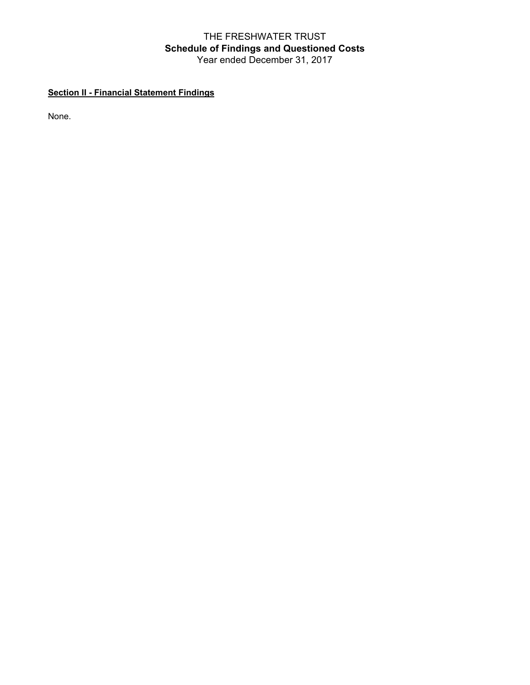## THE FRESHWATER TRUST **Schedule of Findings and Questioned Costs** Year ended December 31, 2017

## **Section II - Financial Statement Findings**

None.